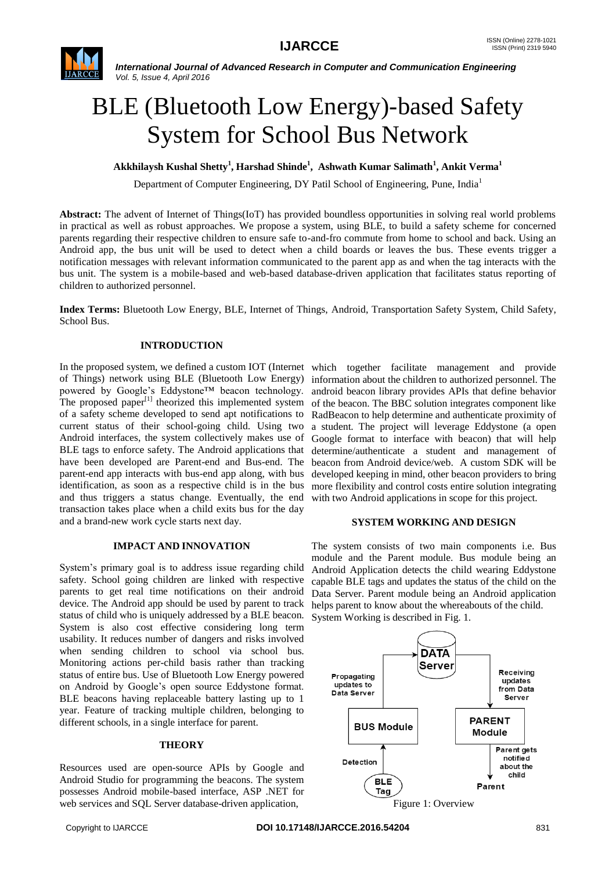

# BLE (Bluetooth Low Energy)-based Safety System for School Bus Network

**Akkhilaysh Kushal Shetty<sup>1</sup> , Harshad Shinde<sup>1</sup> , Ashwath Kumar Salimath<sup>1</sup> , Ankit Verma<sup>1</sup>**

Department of Computer Engineering, DY Patil School of Engineering, Pune, India<sup>1</sup>

**Abstract:** The advent of Internet of Things(IoT) has provided boundless opportunities in solving real world problems in practical as well as robust approaches. We propose a system, using BLE, to build a safety scheme for concerned parents regarding their respective children to ensure safe to-and-fro commute from home to school and back. Using an Android app, the bus unit will be used to detect when a child boards or leaves the bus. These events trigger a notification messages with relevant information communicated to the parent app as and when the tag interacts with the bus unit. The system is a mobile-based and web-based database-driven application that facilitates status reporting of children to authorized personnel.

**Index Terms:** Bluetooth Low Energy, BLE, Internet of Things, Android, Transportation Safety System, Child Safety, School Bus.

# **INTRODUCTION**

In the proposed system, we defined a custom IOT (Internet which together facilitate management and provide of Things) network using BLE (Bluetooth Low Energy) information about the children to authorized personnel. The powered by Google's Eddystone™ beacon technology. The proposed paper $\left[1\right]$  theorized this implemented system of a safety scheme developed to send apt notifications to current status of their school-going child. Using two Android interfaces, the system collectively makes use of BLE tags to enforce safety. The Android applications that have been developed are Parent-end and Bus-end. The parent-end app interacts with bus-end app along, with bus identification, as soon as a respective child is in the bus and thus triggers a status change. Eventually, the end transaction takes place when a child exits bus for the day and a brand-new work cycle starts next day.

# **IMPACT AND INNOVATION**

System's primary goal is to address issue regarding child safety. School going children are linked with respective parents to get real time notifications on their android device. The Android app should be used by parent to track status of child who is uniquely addressed by a BLE beacon. System is also cost effective considering long term usability. It reduces number of dangers and risks involved when sending children to school via school bus. Monitoring actions per-child basis rather than tracking status of entire bus. Use of Bluetooth Low Energy powered on Android by Google's open source Eddystone format. BLE beacons having replaceable battery lasting up to 1 year. Feature of tracking multiple children, belonging to different schools, in a single interface for parent.

#### **THEORY**

Resources used are open-source APIs by Google and Android Studio for programming the beacons. The system possesses Android mobile-based interface, ASP .NET for web services and SQL Server database-driven application,

android beacon library provides APIs that define behavior of the beacon. The BBC solution integrates component like RadBeacon to help determine and authenticate proximity of a student. The project will leverage Eddystone (a open Google format to interface with beacon) that will help determine/authenticate a student and management of beacon from Android device/web. A custom SDK will be developed keeping in mind, other beacon providers to bring more flexibility and control costs entire solution integrating with two Android applications in scope for this project.

# **SYSTEM WORKING AND DESIGN**

The system consists of two main components i.e. Bus module and the Parent module. Bus module being an Android Application detects the child wearing Eddystone capable BLE tags and updates the status of the child on the Data Server. Parent module being an Android application helps parent to know about the whereabouts of the child. System Working is described in Fig. 1.

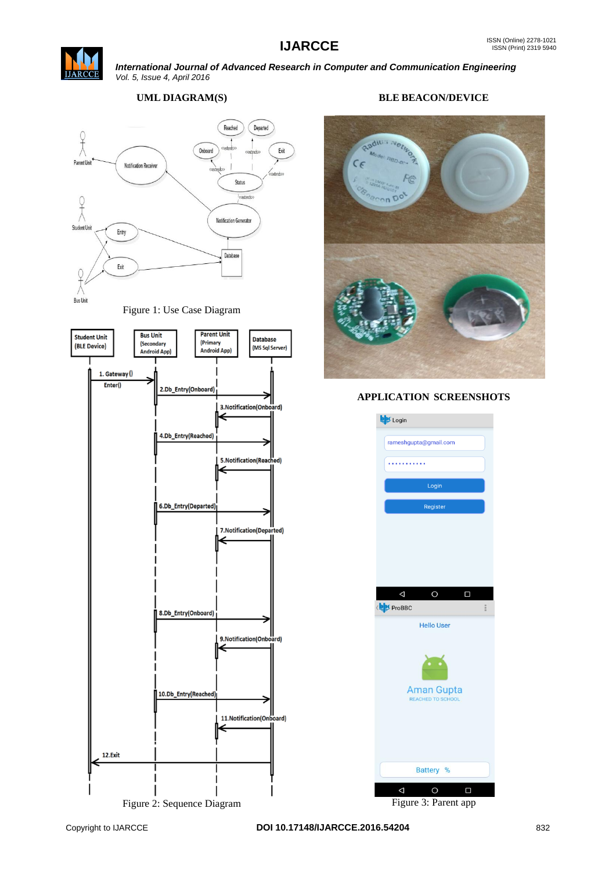



# **UML DIAGRAM(S)**



Figure 1: Use Case Diagram



Figure 2: Sequence Diagram

# **BLE BEACON/DEVICE**



# **APPLICATION SCREENSHOTS**



Figure 3: Parent app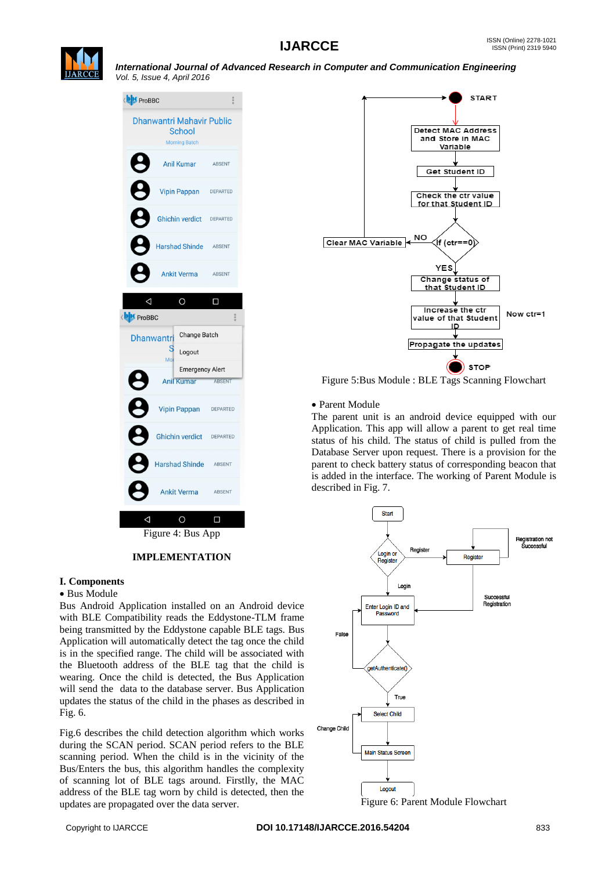



**IMPLEMENTATION**

# **I. Components**

#### Bus Module

Bus Android Application installed on an Android device with BLE Compatibility reads the Eddystone-TLM frame being transmitted by the Eddystone capable BLE tags. Bus Application will automatically detect the tag once the child is in the specified range. The child will be associated with the Bluetooth address of the BLE tag that the child is wearing. Once the child is detected, the Bus Application will send the data to the database server. Bus Application updates the status of the child in the phases as described in Fig. 6.

Fig.6 describes the child detection algorithm which works during the SCAN period. SCAN period refers to the BLE scanning period. When the child is in the vicinity of the Bus/Enters the bus, this algorithm handles the complexity of scanning lot of BLE tags around. Firstlly, the MAC address of the BLE tag worn by child is detected, then the updates are propagated over the data server.



Figure 5:Bus Module : BLE Tags Scanning Flowchart

Parent Module

The parent unit is an android device equipped with our Application. This app will allow a parent to get real time status of his child. The status of child is pulled from the Database Server upon request. There is a provision for the parent to check battery status of corresponding beacon that is added in the interface. The working of Parent Module is described in Fig. 7.



Figure 6: Parent Module Flowchart